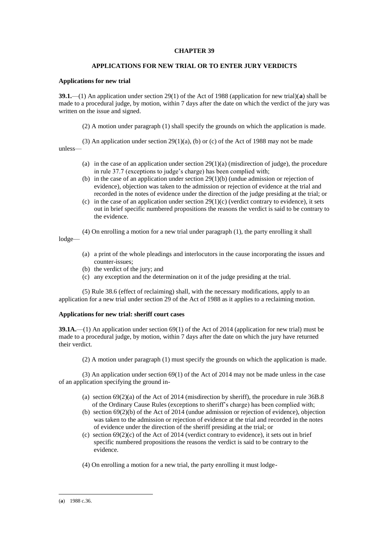# **CHAPTER 39**

# **APPLICATIONS FOR NEW TRIAL OR TO ENTER JURY VERDICTS**

# **Applications for new trial**

**39.1.**—(1) An application under section 29(1) of the Act of 1988 (application for new trial)(**a**) shall be made to a procedural judge, by motion, within 7 days after the date on which the verdict of the jury was written on the issue and signed.

(2) A motion under paragraph (1) shall specify the grounds on which the application is made.

(3) An application under section  $29(1)(a)$ , (b) or (c) of the Act of 1988 may not be made unless—

- (a) in the case of an application under section  $29(1)(a)$  (misdirection of judge), the procedure in rule 37.7 (exceptions to judge's charge) has been complied with;
- (b) in the case of an application under section 29(1)(b) (undue admission or rejection of evidence), objection was taken to the admission or rejection of evidence at the trial and recorded in the notes of evidence under the direction of the judge presiding at the trial; or
- (c) in the case of an application under section  $29(1)(c)$  (verdict contrary to evidence), it sets out in brief specific numbered propositions the reasons the verdict is said to be contrary to the evidence.

(4) On enrolling a motion for a new trial under paragraph (1), the party enrolling it shall

lodge—

- (a) a print of the whole pleadings and interlocutors in the cause incorporating the issues and counter-issues;
- (b) the verdict of the jury; and
- (c) any exception and the determination on it of the judge presiding at the trial.

(5) Rule 38.6 (effect of reclaiming) shall, with the necessary modifications, apply to an application for a new trial under section 29 of the Act of 1988 as it applies to a reclaiming motion.

# **Applications for new trial: sheriff court cases**

**39.1A.**—(1) An application under section 69(1) of the Act of 2014 (application for new trial) must be made to a procedural judge, by motion, within 7 days after the date on which the jury have returned their verdict.

(2) A motion under paragraph (1) must specify the grounds on which the application is made.

(3) An application under section 69(1) of the Act of 2014 may not be made unless in the case of an application specifying the ground in-

- (a) section 69(2)(a) of the Act of 2014 (misdirection by sheriff), the procedure in rule 36B.8 of the Ordinary Cause Rules (exceptions to sheriff's charge) has been complied with;
- (b) section 69(2)(b) of the Act of 2014 (undue admission or rejection of evidence), objection was taken to the admission or rejection of evidence at the trial and recorded in the notes of evidence under the direction of the sheriff presiding at the trial; or
- (c) section  $69(2)(c)$  of the Act of 2014 (verdict contrary to evidence), it sets out in brief specific numbered propositions the reasons the verdict is said to be contrary to the evidence.
- (4) On enrolling a motion for a new trial, the party enrolling it must lodge-

<sup>1</sup> (**a**) 1988 c.36.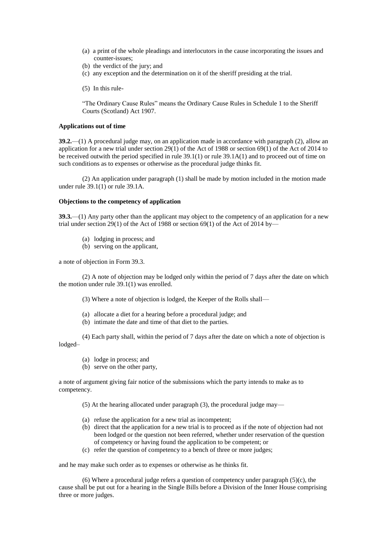- (a) a print of the whole pleadings and interlocutors in the cause incorporating the issues and counter-issues;
- (b) the verdict of the jury; and
- (c) any exception and the determination on it of the sheriff presiding at the trial.
- (5) In this rule-

"The Ordinary Cause Rules" means the Ordinary Cause Rules in Schedule 1 to the Sheriff Courts (Scotland) Act 1907.

#### **Applications out of time**

**39.2.**—(1) A procedural judge may, on an application made in accordance with paragraph (2), allow an application for a new trial under section 29(1) of the Act of 1988 or section 69(1) of the Act of 2014 to be received outwith the period specified in rule 39.1(1) or rule 39.1A(1) and to proceed out of time on such conditions as to expenses or otherwise as the procedural judge thinks fit.

(2) An application under paragraph (1) shall be made by motion included in the motion made under rule 39.1(1) or rule 39.1A.

#### **Objections to the competency of application**

**39.3.**—(1) Any party other than the applicant may object to the competency of an application for a new trial under section 29(1) of the Act of 1988 or section 69(1) of the Act of 2014 by—

- (a) lodging in process; and
- (b) serving on the applicant,

a note of objection in Form 39.3.

(2) A note of objection may be lodged only within the period of 7 days after the date on which the motion under rule 39.1(1) was enrolled.

(3) Where a note of objection is lodged, the Keeper of the Rolls shall—

- (a) allocate a diet for a hearing before a procedural judge; and
- (b) intimate the date and time of that diet to the parties.

(4) Each party shall, within the period of 7 days after the date on which a note of objection is lodged–

- (a) lodge in process; and
- (b) serve on the other party,

a note of argument giving fair notice of the submissions which the party intends to make as to competency.

(5) At the hearing allocated under paragraph (3), the procedural judge may—

- (a) refuse the application for a new trial as incompetent;
- (b) direct that the application for a new trial is to proceed as if the note of objection had not been lodged or the question not been referred, whether under reservation of the question of competency or having found the application to be competent; or
- (c) refer the question of competency to a bench of three or more judges;

and he may make such order as to expenses or otherwise as he thinks fit.

(6) Where a procedural judge refers a question of competency under paragraph  $(5)(c)$ , the cause shall be put out for a hearing in the Single Bills before a Division of the Inner House comprising three or more judges.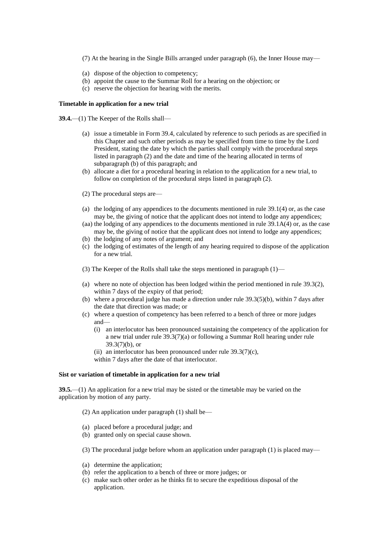- (7) At the hearing in the Single Bills arranged under paragraph (6), the Inner House may—
- (a) dispose of the objection to competency;
- (b) appoint the cause to the Summar Roll for a hearing on the objection; or
- (c) reserve the objection for hearing with the merits.

# **Timetable in application for a new trial**

**39.4.**—(1) The Keeper of the Rolls shall—

- (a) issue a timetable in Form 39.4, calculated by reference to such periods as are specified in this Chapter and such other periods as may be specified from time to time by the Lord President, stating the date by which the parties shall comply with the procedural steps listed in paragraph (2) and the date and time of the hearing allocated in terms of subparagraph (b) of this paragraph; and
- (b) allocate a diet for a procedural hearing in relation to the application for a new trial, to follow on completion of the procedural steps listed in paragraph (2).
- (2) The procedural steps are—
- (a) the lodging of any appendices to the documents mentioned in rule 39.1(4) or, as the case may be, the giving of notice that the applicant does not intend to lodge any appendices;
- (aa) the lodging of any appendices to the documents mentioned in rule 39.1A(4) or, as the case may be, the giving of notice that the applicant does not intend to lodge any appendices;
- (b) the lodging of any notes of argument; and
- (c) the lodging of estimates of the length of any hearing required to dispose of the application for a new trial.
- (3) The Keeper of the Rolls shall take the steps mentioned in paragraph (1)—
- (a) where no note of objection has been lodged within the period mentioned in rule 39.3(2), within 7 days of the expiry of that period;
- (b) where a procedural judge has made a direction under rule 39.3(5)(b), within 7 days after the date that direction was made; or
- (c) where a question of competency has been referred to a bench of three or more judges and—
	- (i) an interlocutor has been pronounced sustaining the competency of the application for a new trial under rule 39.3(7)(a) or following a Summar Roll hearing under rule  $39.3(7)(b)$ , or
	- (ii) an interlocutor has been pronounced under rule  $39.3(7)(c)$ ,

within 7 days after the date of that interlocutor.

#### **Sist or variation of timetable in application for a new trial**

**39.5.**—(1) An application for a new trial may be sisted or the timetable may be varied on the application by motion of any party.

(2) An application under paragraph (1) shall be—

- (a) placed before a procedural judge; and
- (b) granted only on special cause shown.

(3) The procedural judge before whom an application under paragraph (1) is placed may—

- (a) determine the application;
- (b) refer the application to a bench of three or more judges; or
- (c) make such other order as he thinks fit to secure the expeditious disposal of the application.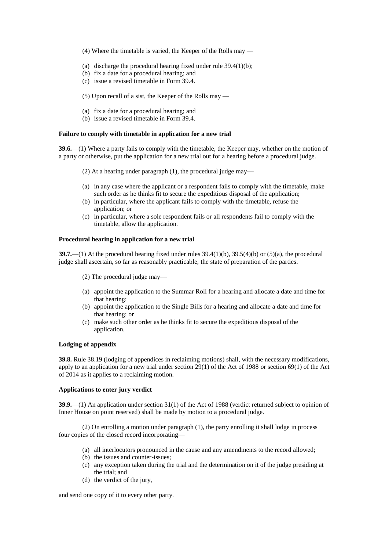- (4) Where the timetable is varied, the Keeper of the Rolls may —
- (a) discharge the procedural hearing fixed under rule 39.4(1)(b);
- (b) fix a date for a procedural hearing; and
- (c) issue a revised timetable in Form 39.4.
- (5) Upon recall of a sist, the Keeper of the Rolls may —
- (a) fix a date for a procedural hearing; and
- (b) issue a revised timetable in Form 39.4.

### **Failure to comply with timetable in application for a new trial**

**39.6.**—(1) Where a party fails to comply with the timetable, the Keeper may, whether on the motion of a party or otherwise, put the application for a new trial out for a hearing before a procedural judge.

- (2) At a hearing under paragraph (1), the procedural judge may—
- (a) in any case where the applicant or a respondent fails to comply with the timetable, make such order as he thinks fit to secure the expeditious disposal of the application;
- (b) in particular, where the applicant fails to comply with the timetable, refuse the application; or
- (c) in particular, where a sole respondent fails or all respondents fail to comply with the timetable, allow the application.

# **Procedural hearing in application for a new trial**

**39.7.**—(1) At the procedural hearing fixed under rules 39.4(1)(b), 39.5(4)(b) or (5)(a), the procedural judge shall ascertain, so far as reasonably practicable, the state of preparation of the parties.

- (2) The procedural judge may—
- (a) appoint the application to the Summar Roll for a hearing and allocate a date and time for that hearing;
- (b) appoint the application to the Single Bills for a hearing and allocate a date and time for that hearing; or
- (c) make such other order as he thinks fit to secure the expeditious disposal of the application.

#### **Lodging of appendix**

**39.8.** Rule 38.19 (lodging of appendices in reclaiming motions) shall, with the necessary modifications, apply to an application for a new trial under section 29(1) of the Act of 1988 or section 69(1) of the Act of 2014 as it applies to a reclaiming motion.

# **Applications to enter jury verdict**

**39.9.**—(1) An application under section 31(1) of the Act of 1988 (verdict returned subject to opinion of Inner House on point reserved) shall be made by motion to a procedural judge.

(2) On enrolling a motion under paragraph (1), the party enrolling it shall lodge in process four copies of the closed record incorporating—

- (a) all interlocutors pronounced in the cause and any amendments to the record allowed;
- (b) the issues and counter-issues;
- (c) any exception taken during the trial and the determination on it of the judge presiding at the trial; and
- (d) the verdict of the jury,

and send one copy of it to every other party.